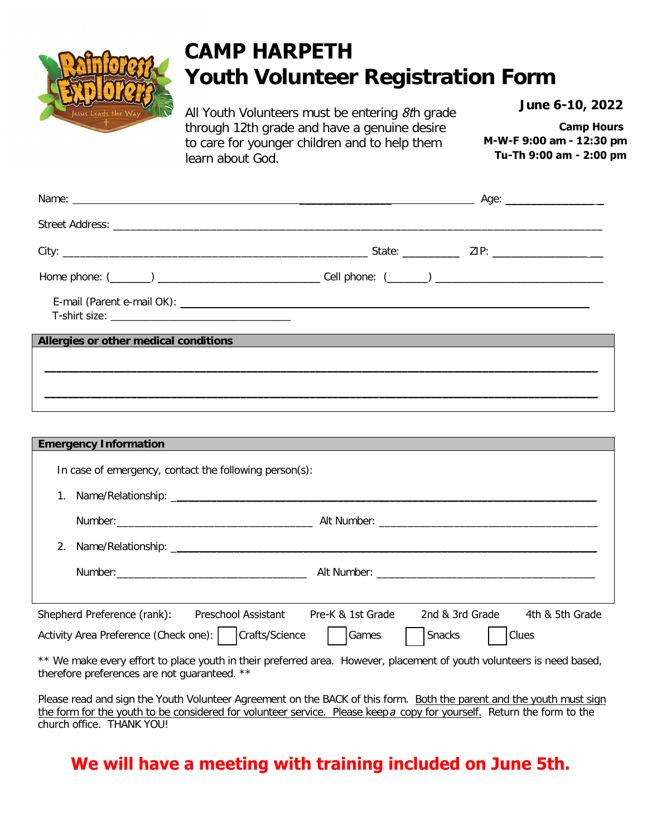

## **CAMP HARPETH Youth Volunteer Registration Form**

*All Youth Volunteers must be entering* 8t*h grade through 12th grade and have a genuine desire to care for younger children and to help them learn about God.*

**June 6-10, 2022**

**Camp Hours M-W-F 9:00 am - 12:30 pm Tu-Th 9:00 am - 2:00 pm**

| Allergies or other medical conditions experience of the state of the state of the state of the state of the state of | <u> 1989 - Johann Harry Harry Harry Harry Harry Harry Harry Harry Harry Harry Harry Harry Harry Harry Harry Harry</u> |  |
|----------------------------------------------------------------------------------------------------------------------|-----------------------------------------------------------------------------------------------------------------------|--|
|                                                                                                                      |                                                                                                                       |  |
|                                                                                                                      |                                                                                                                       |  |
|                                                                                                                      |                                                                                                                       |  |
|                                                                                                                      |                                                                                                                       |  |
| <b>Emergency Information</b>                                                                                         | ,我们也不会有什么。""我们的人,我们也不会有什么?""我们的人,我们也不会有什么?""我们的人,我们也不会有什么?""我们的人,我们也不会有什么?""我们的人                                      |  |
| In case of emergency, contact the following person(s):                                                               |                                                                                                                       |  |
|                                                                                                                      |                                                                                                                       |  |
|                                                                                                                      |                                                                                                                       |  |
|                                                                                                                      |                                                                                                                       |  |
| 2.                                                                                                                   |                                                                                                                       |  |
|                                                                                                                      |                                                                                                                       |  |

| Shepherd Preference (rank):                          | Preschool Assistant | Pre-K & 1st Grade | 2nd & 3rd Grade | 4th & 5th Grade       |
|------------------------------------------------------|---------------------|-------------------|-----------------|-----------------------|
| Activity Area Preference (Check one): Crafts/Science |                     | Games             | Snacks          | $\vert$ $\vert$ Clues |

\*\* We make every effort to place youth in their preferred area. However, placement of youth volunteers is need based, therefore preferences are not guaranteed. \*\*

Please read and sign the Youth Volunteer Agreement on the BACK of this form. *Both the parent and the youth must sign the form for the youth to be considered for volunteer service. Please keep* a *copy for yourself.* Return the form to the church office. THANK YOU!

## **We will have a meeting with training included on June 5th.**